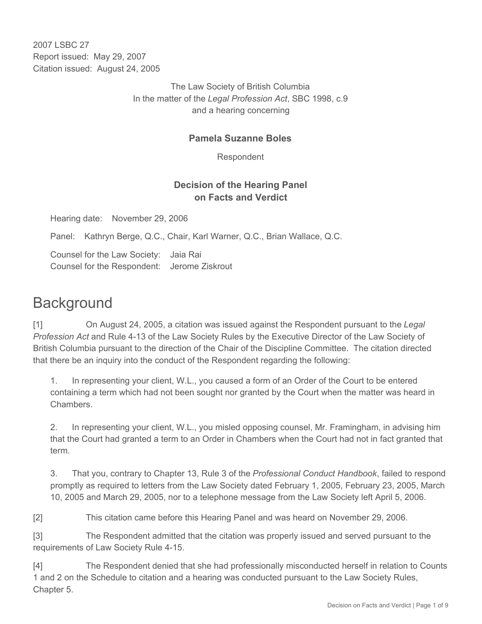2007 LSBC 27 Report issued: May 29, 2007 Citation issued: August 24, 2005

> The Law Society of British Columbia In the matter of the *Legal Profession Act*, SBC 1998, c.9 and a hearing concerning

#### **Pamela Suzanne Boles**

Respondent

#### **Decision of the Hearing Panel on Facts and Verdict**

Hearing date: November 29, 2006

Panel: Kathryn Berge, Q.C., Chair, Karl Warner, Q.C., Brian Wallace, Q.C.

Counsel for the Law Society: Jaia Rai Counsel for the Respondent: Jerome Ziskrout

# **Background**

[1] On August 24, 2005, a citation was issued against the Respondent pursuant to the *Legal Profession Act* and Rule 4-13 of the Law Society Rules by the Executive Director of the Law Society of British Columbia pursuant to the direction of the Chair of the Discipline Committee. The citation directed that there be an inquiry into the conduct of the Respondent regarding the following:

1. In representing your client, W.L., you caused a form of an Order of the Court to be entered containing a term which had not been sought nor granted by the Court when the matter was heard in Chambers.

2. In representing your client, W.L., you misled opposing counsel, Mr. Framingham, in advising him that the Court had granted a term to an Order in Chambers when the Court had not in fact granted that term.

3. That you, contrary to Chapter 13, Rule 3 of the *Professional Conduct Handbook*, failed to respond promptly as required to letters from the Law Society dated February 1, 2005, February 23, 2005, March 10, 2005 and March 29, 2005, nor to a telephone message from the Law Society left April 5, 2006.

[2] This citation came before this Hearing Panel and was heard on November 29, 2006.

[3] The Respondent admitted that the citation was properly issued and served pursuant to the requirements of Law Society Rule 4-15.

[4] The Respondent denied that she had professionally misconducted herself in relation to Counts 1 and 2 on the Schedule to citation and a hearing was conducted pursuant to the Law Society Rules, Chapter 5.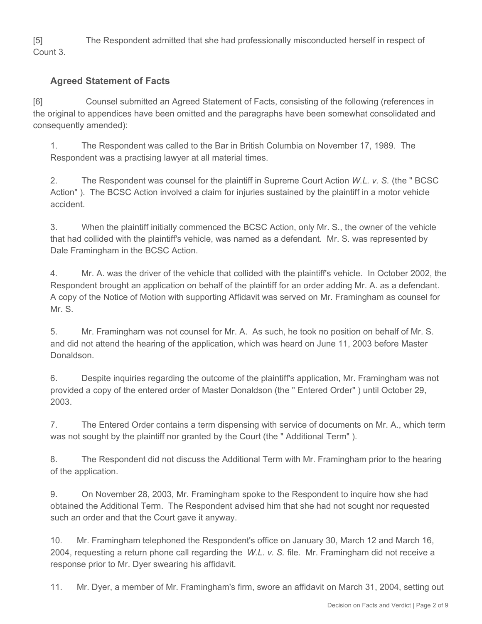[5] The Respondent admitted that she had professionally misconducted herself in respect of Count 3.

## **Agreed Statement of Facts**

[6] Counsel submitted an Agreed Statement of Facts, consisting of the following (references in the original to appendices have been omitted and the paragraphs have been somewhat consolidated and consequently amended):

1. The Respondent was called to the Bar in British Columbia on November 17, 1989. The Respondent was a practising lawyer at all material times.

2. The Respondent was counsel for the plaintiff in Supreme Court Action *W.L. v. S.* (the " BCSC Action" ). The BCSC Action involved a claim for injuries sustained by the plaintiff in a motor vehicle accident.

3. When the plaintiff initially commenced the BCSC Action, only Mr. S., the owner of the vehicle that had collided with the plaintiff's vehicle, was named as a defendant. Mr. S. was represented by Dale Framingham in the BCSC Action.

4. Mr. A. was the driver of the vehicle that collided with the plaintiff's vehicle. In October 2002, the Respondent brought an application on behalf of the plaintiff for an order adding Mr. A. as a defendant. A copy of the Notice of Motion with supporting Affidavit was served on Mr. Framingham as counsel for Mr. S.

5. Mr. Framingham was not counsel for Mr. A. As such, he took no position on behalf of Mr. S. and did not attend the hearing of the application, which was heard on June 11, 2003 before Master Donaldson.

6. Despite inquiries regarding the outcome of the plaintiff's application, Mr. Framingham was not provided a copy of the entered order of Master Donaldson (the " Entered Order" ) until October 29, 2003.

7. The Entered Order contains a term dispensing with service of documents on Mr. A., which term was not sought by the plaintiff nor granted by the Court (the " Additional Term" ).

8. The Respondent did not discuss the Additional Term with Mr. Framingham prior to the hearing of the application.

9. On November 28, 2003, Mr. Framingham spoke to the Respondent to inquire how she had obtained the Additional Term. The Respondent advised him that she had not sought nor requested such an order and that the Court gave it anyway.

10. Mr. Framingham telephoned the Respondent's office on January 30, March 12 and March 16, 2004, requesting a return phone call regarding the *W.L. v. S.* file. Mr. Framingham did not receive a response prior to Mr. Dyer swearing his affidavit.

11. Mr. Dyer, a member of Mr. Framingham's firm, swore an affidavit on March 31, 2004, setting out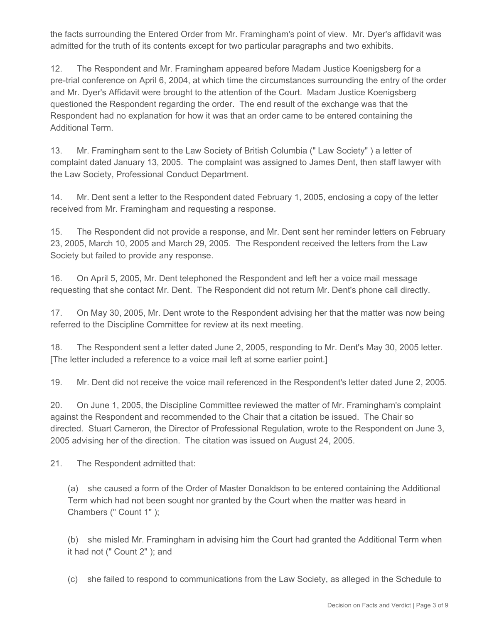the facts surrounding the Entered Order from Mr. Framingham's point of view. Mr. Dyer's affidavit was admitted for the truth of its contents except for two particular paragraphs and two exhibits.

12. The Respondent and Mr. Framingham appeared before Madam Justice Koenigsberg for a pre-trial conference on April 6, 2004, at which time the circumstances surrounding the entry of the order and Mr. Dyer's Affidavit were brought to the attention of the Court. Madam Justice Koenigsberg questioned the Respondent regarding the order. The end result of the exchange was that the Respondent had no explanation for how it was that an order came to be entered containing the Additional Term.

13. Mr. Framingham sent to the Law Society of British Columbia (" Law Society" ) a letter of complaint dated January 13, 2005. The complaint was assigned to James Dent, then staff lawyer with the Law Society, Professional Conduct Department.

14. Mr. Dent sent a letter to the Respondent dated February 1, 2005, enclosing a copy of the letter received from Mr. Framingham and requesting a response.

15. The Respondent did not provide a response, and Mr. Dent sent her reminder letters on February 23, 2005, March 10, 2005 and March 29, 2005. The Respondent received the letters from the Law Society but failed to provide any response.

16. On April 5, 2005, Mr. Dent telephoned the Respondent and left her a voice mail message requesting that she contact Mr. Dent. The Respondent did not return Mr. Dent's phone call directly.

17. On May 30, 2005, Mr. Dent wrote to the Respondent advising her that the matter was now being referred to the Discipline Committee for review at its next meeting.

18. The Respondent sent a letter dated June 2, 2005, responding to Mr. Dent's May 30, 2005 letter. [The letter included a reference to a voice mail left at some earlier point.]

19. Mr. Dent did not receive the voice mail referenced in the Respondent's letter dated June 2, 2005.

20. On June 1, 2005, the Discipline Committee reviewed the matter of Mr. Framingham's complaint against the Respondent and recommended to the Chair that a citation be issued. The Chair so directed. Stuart Cameron, the Director of Professional Regulation, wrote to the Respondent on June 3, 2005 advising her of the direction. The citation was issued on August 24, 2005.

21. The Respondent admitted that:

(a) she caused a form of the Order of Master Donaldson to be entered containing the Additional Term which had not been sought nor granted by the Court when the matter was heard in Chambers (" Count 1" );

(b) she misled Mr. Framingham in advising him the Court had granted the Additional Term when it had not (" Count 2" ); and

(c) she failed to respond to communications from the Law Society, as alleged in the Schedule to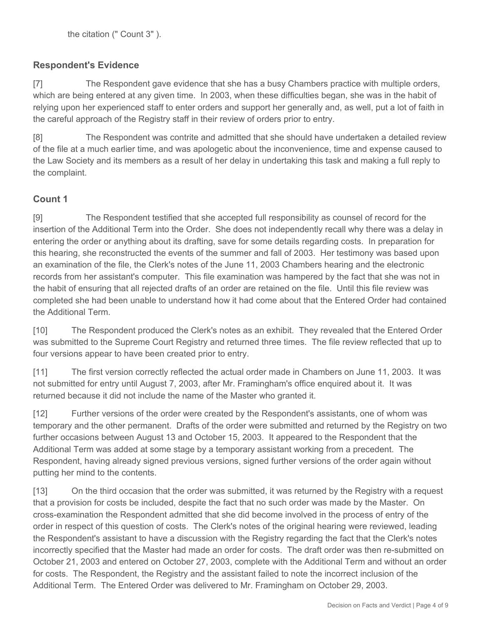## **Respondent's Evidence**

[7] The Respondent gave evidence that she has a busy Chambers practice with multiple orders, which are being entered at any given time. In 2003, when these difficulties began, she was in the habit of relying upon her experienced staff to enter orders and support her generally and, as well, put a lot of faith in the careful approach of the Registry staff in their review of orders prior to entry.

[8] The Respondent was contrite and admitted that she should have undertaken a detailed review of the file at a much earlier time, and was apologetic about the inconvenience, time and expense caused to the Law Society and its members as a result of her delay in undertaking this task and making a full reply to the complaint.

# **Count 1**

[9] The Respondent testified that she accepted full responsibility as counsel of record for the insertion of the Additional Term into the Order. She does not independently recall why there was a delay in entering the order or anything about its drafting, save for some details regarding costs. In preparation for this hearing, she reconstructed the events of the summer and fall of 2003. Her testimony was based upon an examination of the file, the Clerk's notes of the June 11, 2003 Chambers hearing and the electronic records from her assistant's computer. This file examination was hampered by the fact that she was not in the habit of ensuring that all rejected drafts of an order are retained on the file. Until this file review was completed she had been unable to understand how it had come about that the Entered Order had contained the Additional Term.

[10] The Respondent produced the Clerk's notes as an exhibit. They revealed that the Entered Order was submitted to the Supreme Court Registry and returned three times. The file review reflected that up to four versions appear to have been created prior to entry.

[11] The first version correctly reflected the actual order made in Chambers on June 11, 2003. It was not submitted for entry until August 7, 2003, after Mr. Framingham's office enquired about it. It was returned because it did not include the name of the Master who granted it.

[12] Further versions of the order were created by the Respondent's assistants, one of whom was temporary and the other permanent. Drafts of the order were submitted and returned by the Registry on two further occasions between August 13 and October 15, 2003. It appeared to the Respondent that the Additional Term was added at some stage by a temporary assistant working from a precedent. The Respondent, having already signed previous versions, signed further versions of the order again without putting her mind to the contents.

[13] On the third occasion that the order was submitted, it was returned by the Registry with a request that a provision for costs be included, despite the fact that no such order was made by the Master. On cross-examination the Respondent admitted that she did become involved in the process of entry of the order in respect of this question of costs. The Clerk's notes of the original hearing were reviewed, leading the Respondent's assistant to have a discussion with the Registry regarding the fact that the Clerk's notes incorrectly specified that the Master had made an order for costs. The draft order was then re-submitted on October 21, 2003 and entered on October 27, 2003, complete with the Additional Term and without an order for costs. The Respondent, the Registry and the assistant failed to note the incorrect inclusion of the Additional Term. The Entered Order was delivered to Mr. Framingham on October 29, 2003.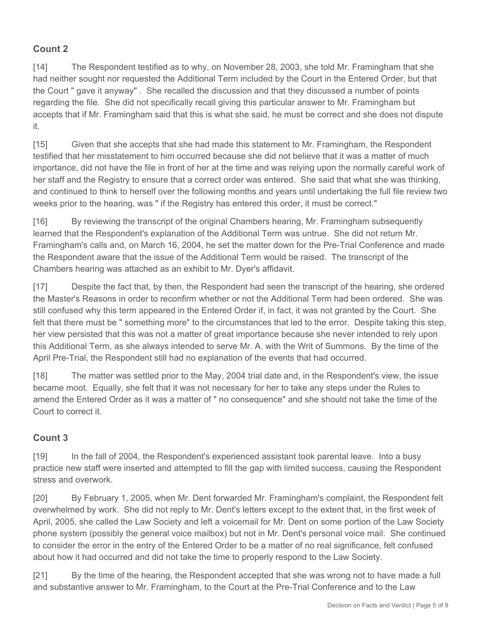## **Count 2**

[14] The Respondent testified as to why, on November 28, 2003, she told Mr. Framingham that she had neither sought nor requested the Additional Term included by the Court in the Entered Order, but that the Court " gave it anyway" . She recalled the discussion and that they discussed a number of points regarding the file. She did not specifically recall giving this particular answer to Mr. Framingham but accepts that if Mr. Framingham said that this is what she said, he must be correct and she does not dispute it.

[15] Given that she accepts that she had made this statement to Mr. Framingham, the Respondent testified that her misstatement to him occurred because she did not believe that it was a matter of much importance, did not have the file in front of her at the time and was relying upon the normally careful work of her staff and the Registry to ensure that a correct order was entered. She said that what she was thinking, and continued to think to herself over the following months and years until undertaking the full file review two weeks prior to the hearing, was " if the Registry has entered this order, it must be correct."

[16] By reviewing the transcript of the original Chambers hearing, Mr. Framingham subsequently learned that the Respondent's explanation of the Additional Term was untrue. She did not return Mr. Framingham's calls and, on March 16, 2004, he set the matter down for the Pre-Trial Conference and made the Respondent aware that the issue of the Additional Term would be raised. The transcript of the Chambers hearing was attached as an exhibit to Mr. Dyer's affidavit.

[17] Despite the fact that, by then, the Respondent had seen the transcript of the hearing, she ordered the Master's Reasons in order to reconfirm whether or not the Additional Term had been ordered. She was still confused why this term appeared in the Entered Order if, in fact, it was not granted by the Court. She felt that there must be " something more" to the circumstances that led to the error. Despite taking this step, her view persisted that this was not a matter of great importance because she never intended to rely upon this Additional Term, as she always intended to serve Mr. A. with the Writ of Summons. By the time of the April Pre-Trial, the Respondent still had no explanation of the events that had occurred.

[18] The matter was settled prior to the May, 2004 trial date and, in the Respondent's view, the issue became moot. Equally, she felt that it was not necessary for her to take any steps under the Rules to amend the Entered Order as it was a matter of " no consequence" and she should not take the time of the Court to correct it.

# **Count 3**

[19] In the fall of 2004, the Respondent's experienced assistant took parental leave. Into a busy practice new staff were inserted and attempted to fill the gap with limited success, causing the Respondent stress and overwork.

[20] By February 1, 2005, when Mr. Dent forwarded Mr. Framingham's complaint, the Respondent felt overwhelmed by work. She did not reply to Mr. Dent's letters except to the extent that, in the first week of April, 2005, she called the Law Society and left a voicemail for Mr. Dent on some portion of the Law Society phone system (possibly the general voice mailbox) but not in Mr. Dent's personal voice mail. She continued to consider the error in the entry of the Entered Order to be a matter of no real significance, felt confused about how it had occurred and did not take the time to properly respond to the Law Society.

[21] By the time of the hearing, the Respondent accepted that she was wrong not to have made a full and substantive answer to Mr. Framingham, to the Court at the Pre-Trial Conference and to the Law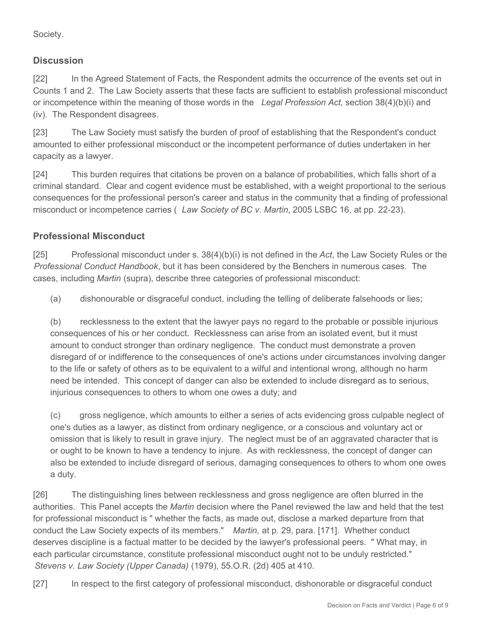Society.

## **Discussion**

[22] In the Agreed Statement of Facts, the Respondent admits the occurrence of the events set out in Counts 1 and 2. The Law Society asserts that these facts are sufficient to establish professional misconduct or incompetence within the meaning of those words in the *Legal Profession Act,* section 38(4)(b)(i) and (iv). The Respondent disagrees.

[23] The Law Society must satisfy the burden of proof of establishing that the Respondent's conduct amounted to either professional misconduct or the incompetent performance of duties undertaken in her capacity as a lawyer.

[24] This burden requires that citations be proven on a balance of probabilities, which falls short of a criminal standard. Clear and cogent evidence must be established, with a weight proportional to the serious consequences for the professional person's career and status in the community that a finding of professional misconduct or incompetence carries ( *Law Society of BC v. Martin*, 2005 LSBC 16*,* at pp. 22-23).

## **Professional Misconduct**

[25] Professional misconduct under s. 38(4)(b)(i) is not defined in the *Act*, the Law Society Rules or the *Professional Conduct Handbook*, but it has been considered by the Benchers in numerous cases. The cases, including *Martin* (supra), describe three categories of professional misconduct:

(a) dishonourable or disgraceful conduct*,* including the telling of deliberate falsehoods or lies;

(b) recklessness to the extent that the lawyer pays no regard to the probable or possible injurious consequences of his or her conduct. Recklessness can arise from an isolated event, but it must amount to conduct stronger than ordinary negligence. The conduct must demonstrate a proven disregard of or indifference to the consequences of one's actions under circumstances involving danger to the life or safety of others as to be equivalent to a wilful and intentional wrong, although no harm need be intended. This concept of danger can also be extended to include disregard as to serious, injurious consequences to others to whom one owes a duty; and

(c) gross negligence, which amounts to either a series of acts evidencing gross culpable neglect of one's duties as a lawyer, as distinct from ordinary negligence, or a conscious and voluntary act or omission that is likely to result in grave injury. The neglect must be of an aggravated character that is or ought to be known to have a tendency to injure. As with recklessness, the concept of danger can also be extended to include disregard of serious, damaging consequences to others to whom one owes a duty.

[26] The distinguishing lines between recklessness and gross negligence are often blurred in the authorities. This Panel accepts the *Martin* decision where the Panel reviewed the law and held that the test for professional misconduct is " whether the facts, as made out, disclose a marked departure from that conduct the Law Society expects of its members." *Martin,* at p. 29, para. [171]. Whether conduct deserves discipline is a factual matter to be decided by the lawyer's professional peers. " What may, in each particular circumstance, constitute professional misconduct ought not to be unduly restricted." *Stevens v. Law Society (Upper Canada)* (1979), 55.O.R. (2d) 405 at 410.

[27] In respect to the first category of professional misconduct, dishonorable or disgraceful conduct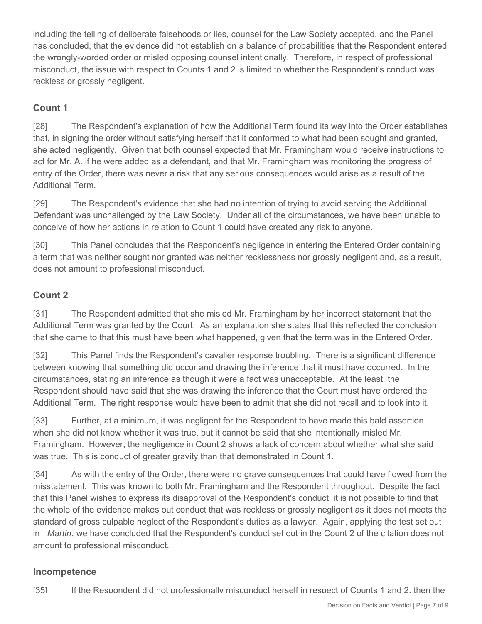including the telling of deliberate falsehoods or lies, counsel for the Law Society accepted, and the Panel has concluded, that the evidence did not establish on a balance of probabilities that the Respondent entered the wrongly-worded order or misled opposing counsel intentionally. Therefore, in respect of professional misconduct, the issue with respect to Counts 1 and 2 is limited to whether the Respondent's conduct was reckless or grossly negligent.

## **Count 1**

[28] The Respondent's explanation of how the Additional Term found its way into the Order establishes that, in signing the order without satisfying herself that it conformed to what had been sought and granted, she acted negligently. Given that both counsel expected that Mr. Framingham would receive instructions to act for Mr. A. if he were added as a defendant, and that Mr. Framingham was monitoring the progress of entry of the Order, there was never a risk that any serious consequences would arise as a result of the Additional Term.

[29] The Respondent's evidence that she had no intention of trying to avoid serving the Additional Defendant was unchallenged by the Law Society. Under all of the circumstances, we have been unable to conceive of how her actions in relation to Count 1 could have created any risk to anyone.

[30] This Panel concludes that the Respondent's negligence in entering the Entered Order containing a term that was neither sought nor granted was neither recklessness nor grossly negligent and, as a result, does not amount to professional misconduct.

## **Count 2**

[31] The Respondent admitted that she misled Mr. Framingham by her incorrect statement that the Additional Term was granted by the Court. As an explanation she states that this reflected the conclusion that she came to that this must have been what happened, given that the term was in the Entered Order.

[32] This Panel finds the Respondent's cavalier response troubling. There is a significant difference between knowing that something did occur and drawing the inference that it must have occurred. In the circumstances, stating an inference as though it were a fact was unacceptable. At the least, the Respondent should have said that she was drawing the inference that the Court must have ordered the Additional Term. The right response would have been to admit that she did not recall and to look into it.

[33] Further, at a minimum, it was negligent for the Respondent to have made this bald assertion when she did not know whether it was true, but it cannot be said that she intentionally misled Mr. Framingham. However, the negligence in Count 2 shows a lack of concern about whether what she said was true. This is conduct of greater gravity than that demonstrated in Count 1.

[34] As with the entry of the Order, there were no grave consequences that could have flowed from the misstatement. This was known to both Mr. Framingham and the Respondent throughout. Despite the fact that this Panel wishes to express its disapproval of the Respondent's conduct, it is not possible to find that the whole of the evidence makes out conduct that was reckless or grossly negligent as it does not meets the standard of gross culpable neglect of the Respondent's duties as a lawyer. Again, applying the test set out in *Martin*, we have concluded that the Respondent's conduct set out in the Count 2 of the citation does not amount to professional misconduct.

## **Incompetence**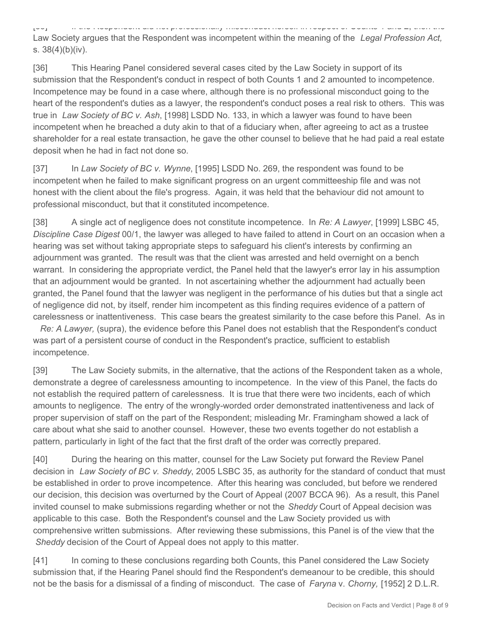[35] If the Respondent did not professionally misconduct herself in respect of Counts 1 and 2, then the Law Society argues that the Respondent was incompetent within the meaning of the *Legal Profession Act,* s. 38(4)(b)(iv).

[36] This Hearing Panel considered several cases cited by the Law Society in support of its submission that the Respondent's conduct in respect of both Counts 1 and 2 amounted to incompetence. Incompetence may be found in a case where, although there is no professional misconduct going to the heart of the respondent's duties as a lawyer, the respondent's conduct poses a real risk to others. This was true in *Law Society of BC v. Ash*, [1998] LSDD No. 133, in which a lawyer was found to have been incompetent when he breached a duty akin to that of a fiduciary when, after agreeing to act as a trustee shareholder for a real estate transaction, he gave the other counsel to believe that he had paid a real estate deposit when he had in fact not done so.

[37] In *Law Society of BC v. Wynne*, [1995] LSDD No. 269, the respondent was found to be incompetent when he failed to make significant progress on an urgent committeeship file and was not honest with the client about the file's progress. Again, it was held that the behaviour did not amount to professional misconduct, but that it constituted incompetence.

[38] A single act of negligence does not constitute incompetence. In *Re: A Lawyer*, [1999] LSBC 45, *Discipline Case Digest* 00/1, the lawyer was alleged to have failed to attend in Court on an occasion when a hearing was set without taking appropriate steps to safeguard his client's interests by confirming an adjournment was granted. The result was that the client was arrested and held overnight on a bench warrant. In considering the appropriate verdict, the Panel held that the lawyer's error lay in his assumption that an adjournment would be granted. In not ascertaining whether the adjournment had actually been granted, the Panel found that the lawyer was negligent in the performance of his duties but that a single act of negligence did not, by itself, render him incompetent as this finding requires evidence of a pattern of carelessness or inattentiveness. This case bears the greatest similarity to the case before this Panel. As in

*Re: A Lawyer,* (supra), the evidence before this Panel does not establish that the Respondent's conduct was part of a persistent course of conduct in the Respondent's practice, sufficient to establish incompetence.

[39] The Law Society submits, in the alternative, that the actions of the Respondent taken as a whole, demonstrate a degree of carelessness amounting to incompetence. In the view of this Panel, the facts do not establish the required pattern of carelessness. It is true that there were two incidents, each of which amounts to negligence. The entry of the wrongly-worded order demonstrated inattentiveness and lack of proper supervision of staff on the part of the Respondent; misleading Mr. Framingham showed a lack of care about what she said to another counsel. However, these two events together do not establish a pattern, particularly in light of the fact that the first draft of the order was correctly prepared.

[40] During the hearing on this matter, counsel for the Law Society put forward the Review Panel decision in *Law Society of BC v. Sheddy*, 2005 LSBC 35, as authority for the standard of conduct that must be established in order to prove incompetence. After this hearing was concluded, but before we rendered our decision, this decision was overturned by the Court of Appeal (2007 BCCA 96). As a result, this Panel invited counsel to make submissions regarding whether or not the *Sheddy* Court of Appeal decision was applicable to this case. Both the Respondent's counsel and the Law Society provided us with comprehensive written submissions. After reviewing these submissions, this Panel is of the view that the *Sheddy* decision of the Court of Appeal does not apply to this matter.

[41] In coming to these conclusions regarding both Counts, this Panel considered the Law Society submission that, if the Hearing Panel should find the Respondent's demeanour to be credible, this should not be the basis for a dismissal of a finding of misconduct. The case of *Faryna* v. *Chorny,* [1952] 2 D.L.R.

Decision on Facts and Verdict | Page 8 of 9